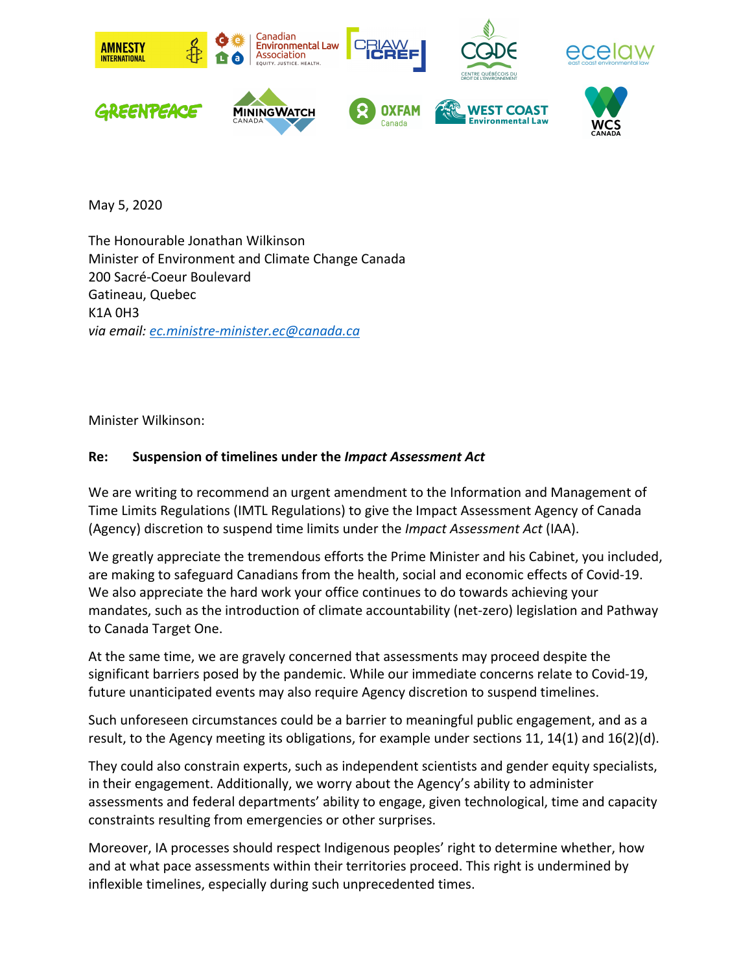

May 5, 2020

The Honourable Jonathan Wilkinson Minister of Environment and Climate Change Canada 200 Sacré-Coeur Boulevard Gatineau, Quebec K1A 0H3 *via email: ec.ministre-minister.ec@canada.ca*

Minister Wilkinson:

## **Re: Suspension of timelines under the** *Impact Assessment Act*

We are writing to recommend an urgent amendment to the Information and Management of Time Limits Regulations (IMTL Regulations) to give the Impact Assessment Agency of Canada (Agency) discretion to suspend time limits under the *Impact Assessment Act* (IAA).

We greatly appreciate the tremendous efforts the Prime Minister and his Cabinet, you included, are making to safeguard Canadians from the health, social and economic effects of Covid-19. We also appreciate the hard work your office continues to do towards achieving your mandates, such as the introduction of climate accountability (net-zero) legislation and Pathway to Canada Target One.

At the same time, we are gravely concerned that assessments may proceed despite the significant barriers posed by the pandemic. While our immediate concerns relate to Covid-19, future unanticipated events may also require Agency discretion to suspend timelines.

Such unforeseen circumstances could be a barrier to meaningful public engagement, and as a result, to the Agency meeting its obligations, for example under sections 11, 14(1) and 16(2)(d).

They could also constrain experts, such as independent scientists and gender equity specialists, in their engagement. Additionally, we worry about the Agency's ability to administer assessments and federal departments' ability to engage, given technological, time and capacity constraints resulting from emergencies or other surprises.

Moreover, IA processes should respect Indigenous peoples' right to determine whether, how and at what pace assessments within their territories proceed. This right is undermined by inflexible timelines, especially during such unprecedented times.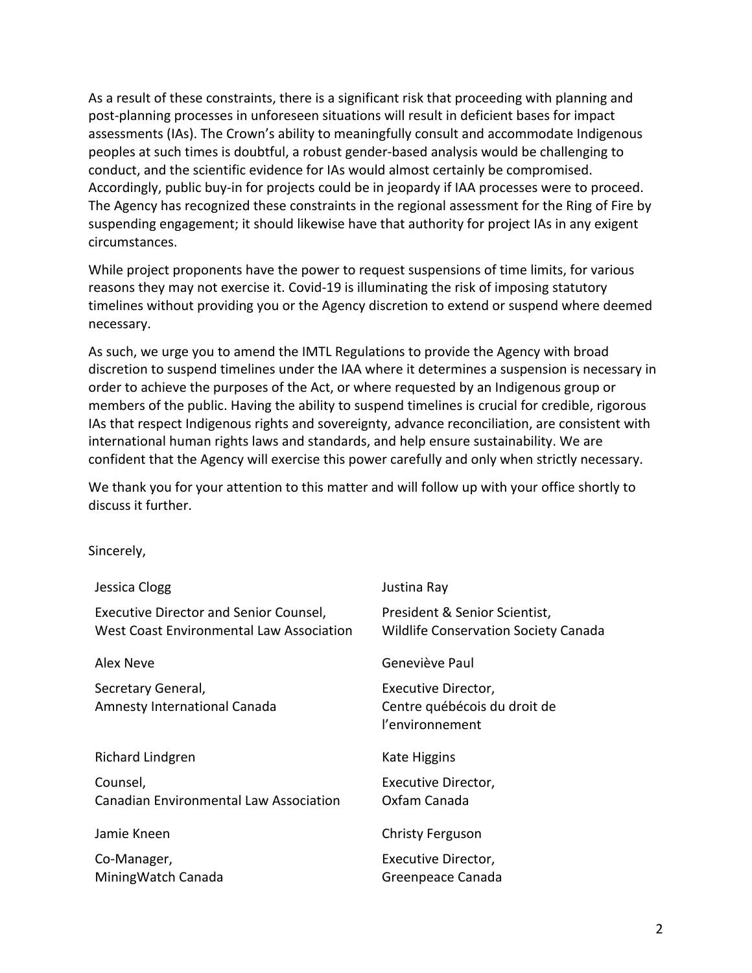As a result of these constraints, there is a significant risk that proceeding with planning and post-planning processes in unforeseen situations will result in deficient bases for impact assessments (IAs). The Crown's ability to meaningfully consult and accommodate Indigenous peoples at such times is doubtful, a robust gender-based analysis would be challenging to conduct, and the scientific evidence for IAs would almost certainly be compromised. Accordingly, public buy-in for projects could be in jeopardy if IAA processes were to proceed. The Agency has recognized these constraints in the regional assessment for the Ring of Fire by suspending engagement; it should likewise have that authority for project IAs in any exigent circumstances.

While project proponents have the power to request suspensions of time limits, for various reasons they may not exercise it. Covid-19 is illuminating the risk of imposing statutory timelines without providing you or the Agency discretion to extend or suspend where deemed necessary.

As such, we urge you to amend the IMTL Regulations to provide the Agency with broad discretion to suspend timelines under the IAA where it determines a suspension is necessary in order to achieve the purposes of the Act, or where requested by an Indigenous group or members of the public. Having the ability to suspend timelines is crucial for credible, rigorous IAs that respect Indigenous rights and sovereignty, advance reconciliation, are consistent with international human rights laws and standards, and help ensure sustainability. We are confident that the Agency will exercise this power carefully and only when strictly necessary.

We thank you for your attention to this matter and will follow up with your office shortly to discuss it further.

Sincerely,

| Jessica Clogg                                                                      | Justina Ray                                                                  |
|------------------------------------------------------------------------------------|------------------------------------------------------------------------------|
| Executive Director and Senior Counsel,<br>West Coast Environmental Law Association | President & Senior Scientist,<br><b>Wildlife Conservation Society Canada</b> |
| Alex Neve                                                                          | Geneviève Paul                                                               |
| Secretary General,<br>Amnesty International Canada                                 | Executive Director,<br>Centre québécois du droit de<br>l'environnement       |
| Richard Lindgren                                                                   | Kate Higgins                                                                 |
| Counsel,<br><b>Canadian Environmental Law Association</b>                          | Executive Director,<br>Oxfam Canada                                          |
| Jamie Kneen                                                                        | <b>Christy Ferguson</b>                                                      |
| Co-Manager,<br>Mining Watch Canada                                                 | Executive Director,<br>Greenpeace Canada                                     |